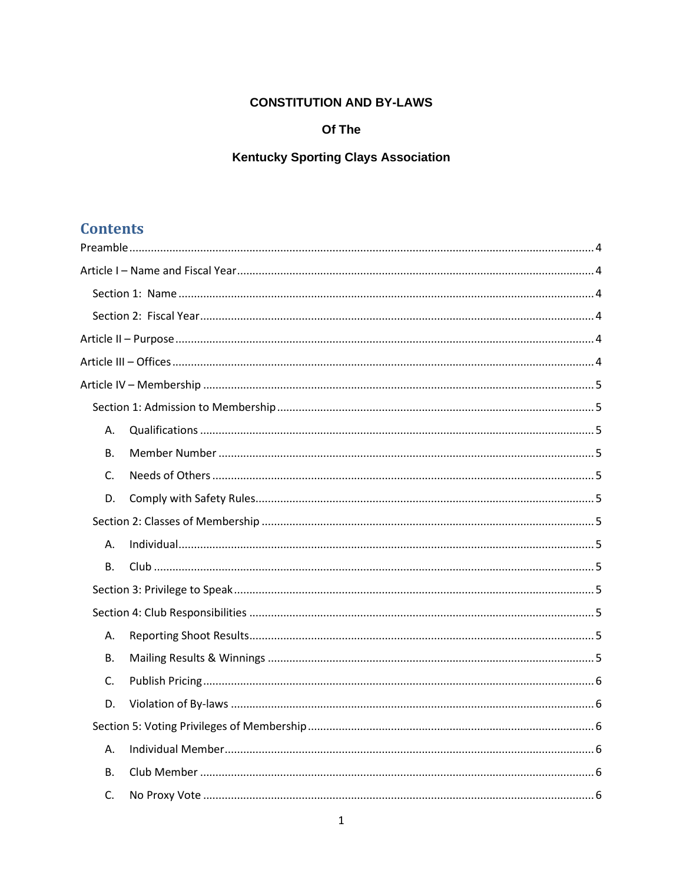## **CONSTITUTION AND BY-LAWS**

## Of The

# **Kentucky Sporting Clays Association**

# **Contents**

| А.        |  |
|-----------|--|
| <b>B.</b> |  |
| C.        |  |
| D.        |  |
|           |  |
| Α.        |  |
| <b>B.</b> |  |
|           |  |
|           |  |
| Α.        |  |
| <b>B.</b> |  |
| C.        |  |
| D.        |  |
|           |  |
| Α.        |  |
| <b>B.</b> |  |
| C.        |  |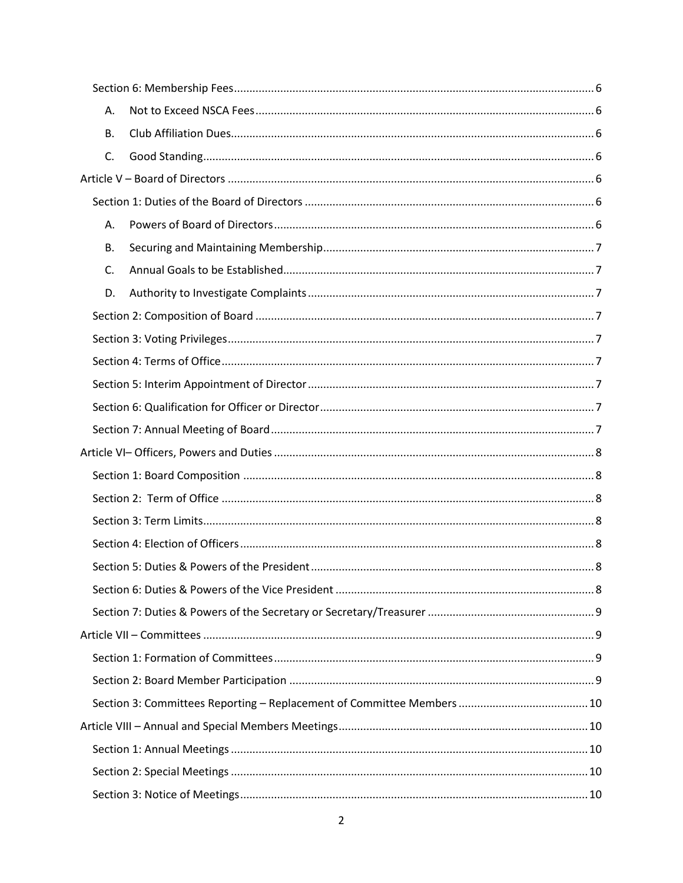| А. |  |  |
|----|--|--|
| В. |  |  |
| C. |  |  |
|    |  |  |
|    |  |  |
| А. |  |  |
| В. |  |  |
| C. |  |  |
| D. |  |  |
|    |  |  |
|    |  |  |
|    |  |  |
|    |  |  |
|    |  |  |
|    |  |  |
|    |  |  |
|    |  |  |
|    |  |  |
|    |  |  |
|    |  |  |
|    |  |  |
|    |  |  |
|    |  |  |
|    |  |  |
|    |  |  |
|    |  |  |
|    |  |  |
|    |  |  |
|    |  |  |
|    |  |  |
|    |  |  |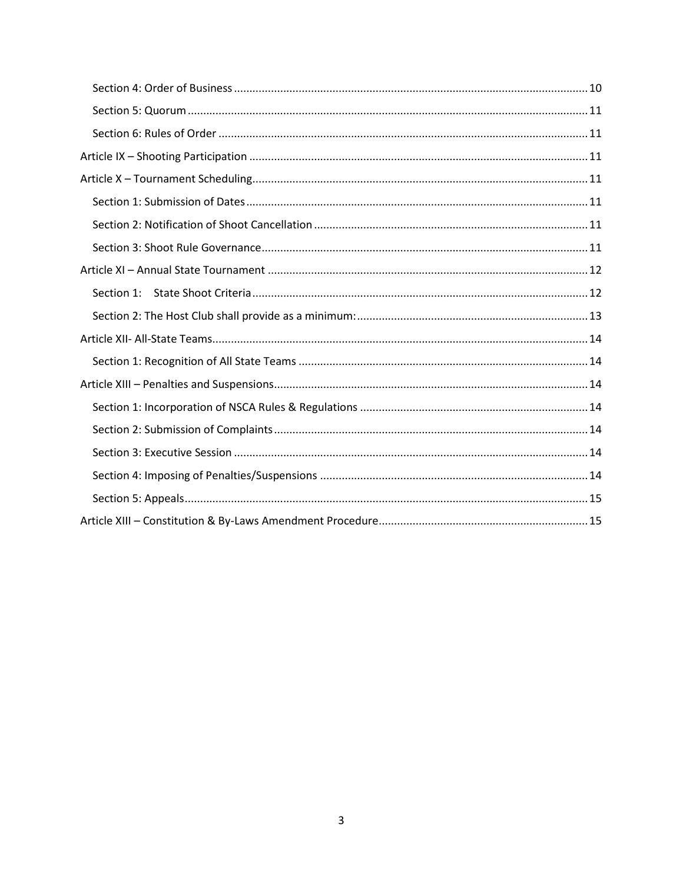| Section 1: |  |  |  |
|------------|--|--|--|
|            |  |  |  |
|            |  |  |  |
|            |  |  |  |
|            |  |  |  |
|            |  |  |  |
|            |  |  |  |
|            |  |  |  |
|            |  |  |  |
|            |  |  |  |
|            |  |  |  |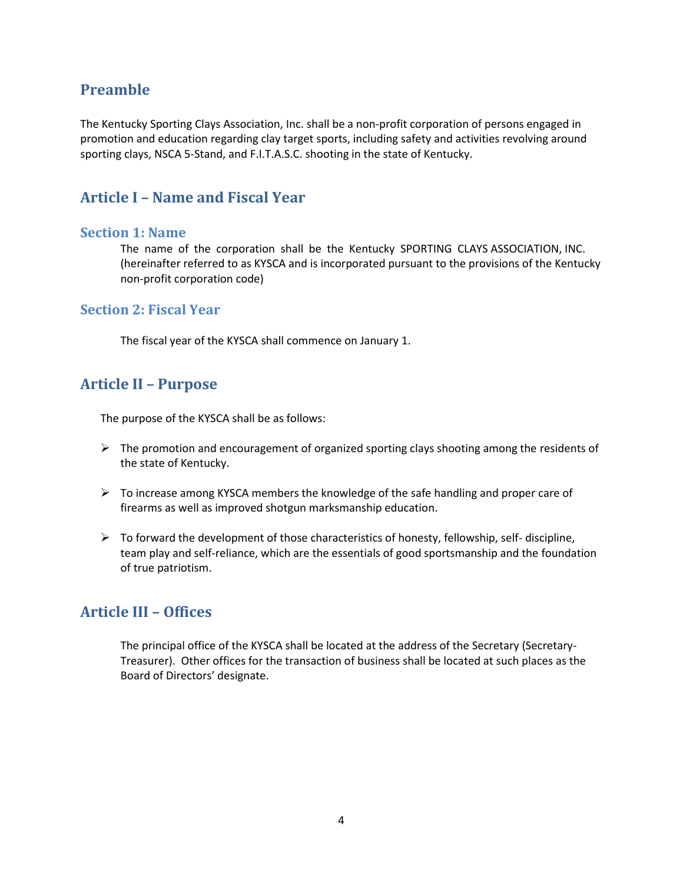## <span id="page-3-0"></span>**Preamble**

The Kentucky Sporting Clays Association, Inc. shall be a non-profit corporation of persons engaged in promotion and education regarding clay target sports, including safety and activities revolving around sporting clays, NSCA 5-Stand, and F.I.T.A.S.C. shooting in the state of Kentucky.

## <span id="page-3-1"></span>**Article I – Name and Fiscal Year**

### <span id="page-3-2"></span>**Section 1: Name**

The name of the corporation shall be the Kentucky SPORTING CLAYS ASSOCIATION, INC. (hereinafter referred to as KYSCA and is incorporated pursuant to the provisions of the Kentucky non-profit corporation code)

### <span id="page-3-3"></span>**Section 2: Fiscal Year**

The fiscal year of the KYSCA shall commence on January 1.

# <span id="page-3-4"></span>**Article II – Purpose**

The purpose of the KYSCA shall be as follows:

- $\triangleright$  The promotion and encouragement of organized sporting clays shooting among the residents of the state of Kentucky.
- $\triangleright$  To increase among KYSCA members the knowledge of the safe handling and proper care of firearms as well as improved shotgun marksmanship education.
- $\triangleright$  To forward the development of those characteristics of honesty, fellowship, self- discipline, team play and self-reliance, which are the essentials of good sportsmanship and the foundation of true patriotism.

# <span id="page-3-5"></span>**Article III – Offices**

The principal office of the KYSCA shall be located at the address of the Secretary (Secretary-Treasurer). Other offices for the transaction of business shall be located at such places as the Board of Directors' designate.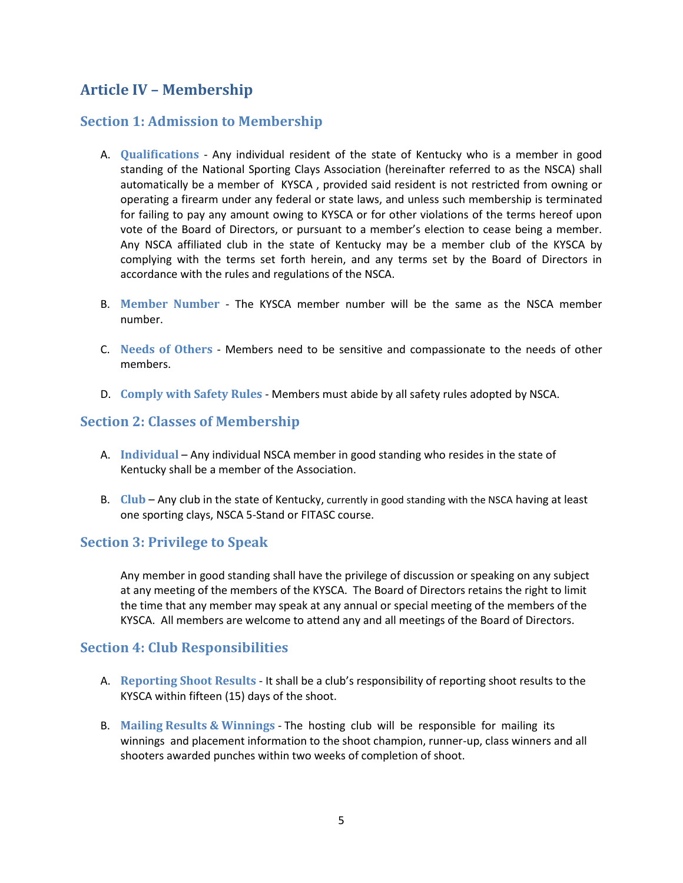# <span id="page-4-0"></span>**Article IV – Membership**

## <span id="page-4-1"></span>**Section 1: Admission to Membership**

- <span id="page-4-2"></span>A. **Qualifications** - Any individual resident of the state of Kentucky who is a member in good standing of the National Sporting Clays Association (hereinafter referred to as the NSCA) shall automatically be a member of KYSCA , provided said resident is not restricted from owning or operating a firearm under any federal or state laws, and unless such membership is terminated for failing to pay any amount owing to KYSCA or for other violations of the terms hereof upon vote of the Board of Directors, or pursuant to a member's election to cease being a member. Any NSCA affiliated club in the state of Kentucky may be a member club of the KYSCA by complying with the terms set forth herein, and any terms set by the Board of Directors in accordance with the rules and regulations of the NSCA.
- <span id="page-4-3"></span>B. **Member Number** - The KYSCA member number will be the same as the NSCA member number.
- <span id="page-4-4"></span>C. **Needs of Others** - Members need to be sensitive and compassionate to the needs of other members.
- <span id="page-4-5"></span>D. **Comply with Safety Rules** - Members must abide by all safety rules adopted by NSCA.

## <span id="page-4-6"></span>**Section 2: Classes of Membership**

- <span id="page-4-7"></span>A. **Individual** – Any individual NSCA member in good standing who resides in the state of Kentucky shall be a member of the Association.
- <span id="page-4-8"></span>B. **Club** – Any club in the state of Kentucky, currently in good standing with the NSCA having at least one sporting clays, NSCA 5-Stand or FITASC course.

## <span id="page-4-9"></span>**Section 3: Privilege to Speak**

Any member in good standing shall have the privilege of discussion or speaking on any subject at any meeting of the members of the KYSCA. The Board of Directors retains the right to limit the time that any member may speak at any annual or special meeting of the members of the KYSCA. All members are welcome to attend any and all meetings of the Board of Directors.

## <span id="page-4-10"></span>**Section 4: Club Responsibilities**

- <span id="page-4-11"></span>A. **Reporting Shoot Results** - It shall be a club's responsibility of reporting shoot results to the KYSCA within fifteen (15) days of the shoot.
- <span id="page-4-12"></span>B. **Mailing Results & Winnings** - The hosting club will be responsible for mailing its winnings and placement information to the shoot champion, runner-up, class winners and all shooters awarded punches within two weeks of completion of shoot.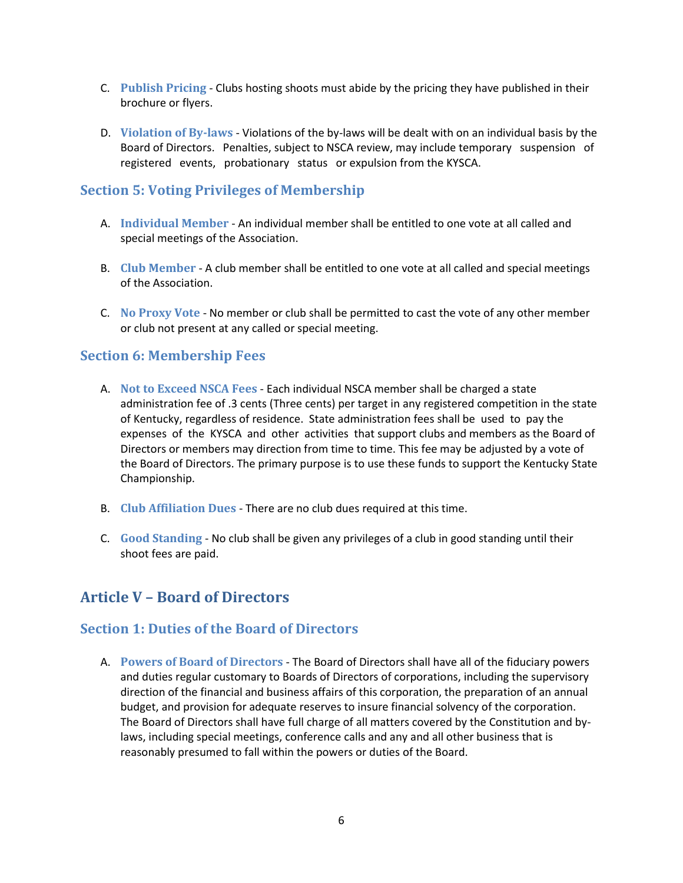- <span id="page-5-0"></span>C. **Publish Pricing** - Clubs hosting shoots must abide by the pricing they have published in their brochure or flyers.
- <span id="page-5-1"></span>D. **Violation of By-laws** - Violations of the by-laws will be dealt with on an individual basis by the Board of Directors. Penalties, subject to NSCA review, may include temporary suspension of registered events, probationary status or expulsion from the KYSCA.

### <span id="page-5-2"></span>**Section 5: Voting Privileges of Membership**

- <span id="page-5-3"></span>A. **Individual Member** - An individual member shall be entitled to one vote at all called and special meetings of the Association.
- <span id="page-5-4"></span>B. **Club Member** - A club member shall be entitled to one vote at all called and special meetings of the Association.
- <span id="page-5-5"></span>C. **No Proxy Vote** - No member or club shall be permitted to cast the vote of any other member or club not present at any called or special meeting.

### <span id="page-5-6"></span>**Section 6: Membership Fees**

- <span id="page-5-7"></span>A. **Not to Exceed NSCA Fees** - Each individual NSCA member shall be charged a state administration fee of .3 cents (Three cents) per target in any registered competition in the state of Kentucky, regardless of residence. State administration fees shall be used to pay the expenses of the KYSCA and other activities that support clubs and members as the Board of Directors or members may direction from time to time. This fee may be adjusted by a vote of the Board of Directors. The primary purpose is to use these funds to support the Kentucky State Championship.
- <span id="page-5-8"></span>B. **Club Affiliation Dues** - There are no club dues required at this time.
- <span id="page-5-9"></span>C. **Good Standing** - No club shall be given any privileges of a club in good standing until their shoot fees are paid.

## <span id="page-5-10"></span>**Article V – Board of Directors**

### <span id="page-5-11"></span>**Section 1: Duties of the Board of Directors**

<span id="page-5-12"></span>A. **Powers of Board of Directors** - The Board of Directors shall have all of the fiduciary powers and duties regular customary to Boards of Directors of corporations, including the supervisory direction of the financial and business affairs of this corporation, the preparation of an annual budget, and provision for adequate reserves to insure financial solvency of the corporation. The Board of Directors shall have full charge of all matters covered by the Constitution and bylaws, including special meetings, conference calls and any and all other business that is reasonably presumed to fall within the powers or duties of the Board.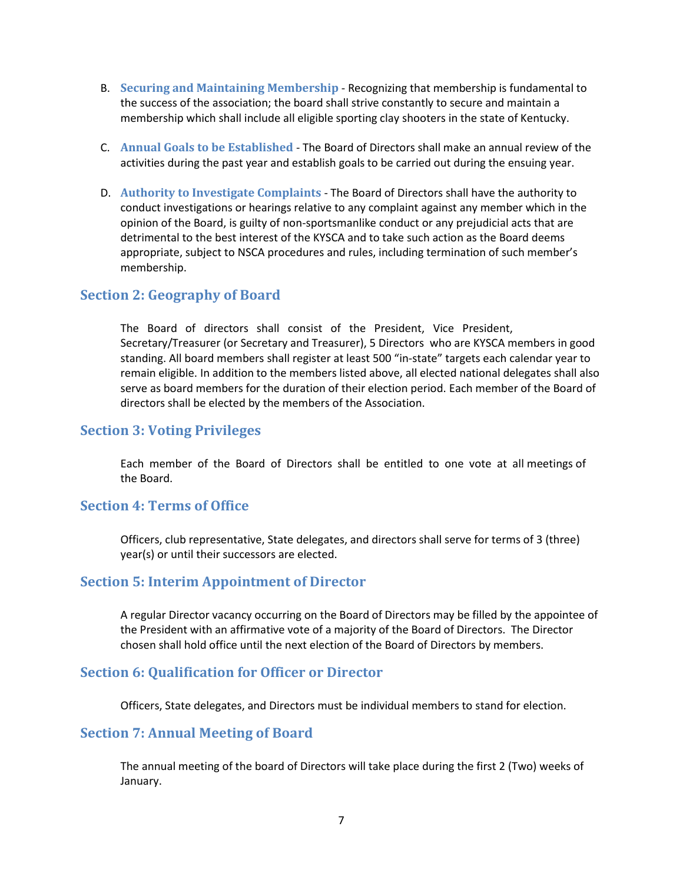- <span id="page-6-0"></span>B. **Securing and Maintaining Membership** - Recognizing that membership is fundamental to the success of the association; the board shall strive constantly to secure and maintain a membership which shall include all eligible sporting clay shooters in the state of Kentucky.
- <span id="page-6-1"></span>C. **Annual Goals to be Established** - The Board of Directors shall make an annual review of the activities during the past year and establish goals to be carried out during the ensuing year.
- <span id="page-6-2"></span>D. **Authority to Investigate Complaints** - The Board of Directors shall have the authority to conduct investigations or hearings relative to any complaint against any member which in the opinion of the Board, is guilty of non-sportsmanlike conduct or any prejudicial acts that are detrimental to the best interest of the KYSCA and to take such action as the Board deems appropriate, subject to NSCA procedures and rules, including termination of such member's membership.

### <span id="page-6-3"></span>**Section 2: Geography of Board**

The Board of directors shall consist of the President, Vice President, Secretary/Treasurer (or Secretary and Treasurer), 5 Directors who are KYSCA members in good standing. All board members shall register at least 500 "in-state" targets each calendar year to remain eligible. In addition to the members listed above, all elected national delegates shall also serve as board members for the duration of their election period. Each member of the Board of directors shall be elected by the members of the Association.

### <span id="page-6-4"></span>**Section 3: Voting Privileges**

Each member of the Board of Directors shall be entitled to one vote at all meetings of the Board.

### <span id="page-6-5"></span>**Section 4: Terms of Office**

Officers, club representative, State delegates, and directors shall serve for terms of 3 (three) year(s) or until their successors are elected.

### <span id="page-6-6"></span>**Section 5: Interim Appointment of Director**

A regular Director vacancy occurring on the Board of Directors may be filled by the appointee of the President with an affirmative vote of a majority of the Board of Directors. The Director chosen shall hold office until the next election of the Board of Directors by members.

### <span id="page-6-7"></span>**Section 6: Qualification for Officer or Director**

Officers, State delegates, and Directors must be individual members to stand for election.

#### <span id="page-6-8"></span>**Section 7: Annual Meeting of Board**

The annual meeting of the board of Directors will take place during the first 2 (Two) weeks of January.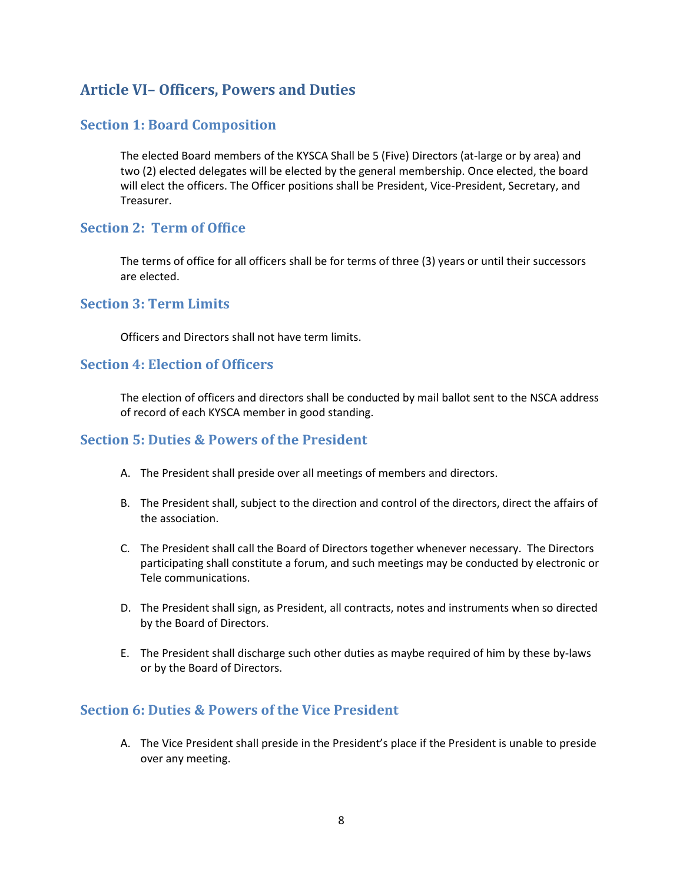# <span id="page-7-0"></span>**Article VI– Officers, Powers and Duties**

## <span id="page-7-1"></span>**Section 1: Board Composition**

The elected Board members of the KYSCA Shall be 5 (Five) Directors (at-large or by area) and two (2) elected delegates will be elected by the general membership. Once elected, the board will elect the officers. The Officer positions shall be President, Vice-President, Secretary, and Treasurer.

## <span id="page-7-2"></span>**Section 2: Term of Office**

The terms of office for all officers shall be for terms of three (3) years or until their successors are elected.

## <span id="page-7-3"></span>**Section 3: Term Limits**

Officers and Directors shall not have term limits.

## <span id="page-7-4"></span>**Section 4: Election of Officers**

The election of officers and directors shall be conducted by mail ballot sent to the NSCA address of record of each KYSCA member in good standing.

### <span id="page-7-5"></span>**Section 5: Duties & Powers of the President**

- A. The President shall preside over all meetings of members and directors.
- B. The President shall, subject to the direction and control of the directors, direct the affairs of the association.
- C. The President shall call the Board of Directors together whenever necessary. The Directors participating shall constitute a forum, and such meetings may be conducted by electronic or Tele communications.
- D. The President shall sign, as President, all contracts, notes and instruments when so directed by the Board of Directors.
- E. The President shall discharge such other duties as maybe required of him by these by-laws or by the Board of Directors.

## <span id="page-7-6"></span>**Section 6: Duties & Powers of the Vice President**

A. The Vice President shall preside in the President's place if the President is unable to preside over any meeting.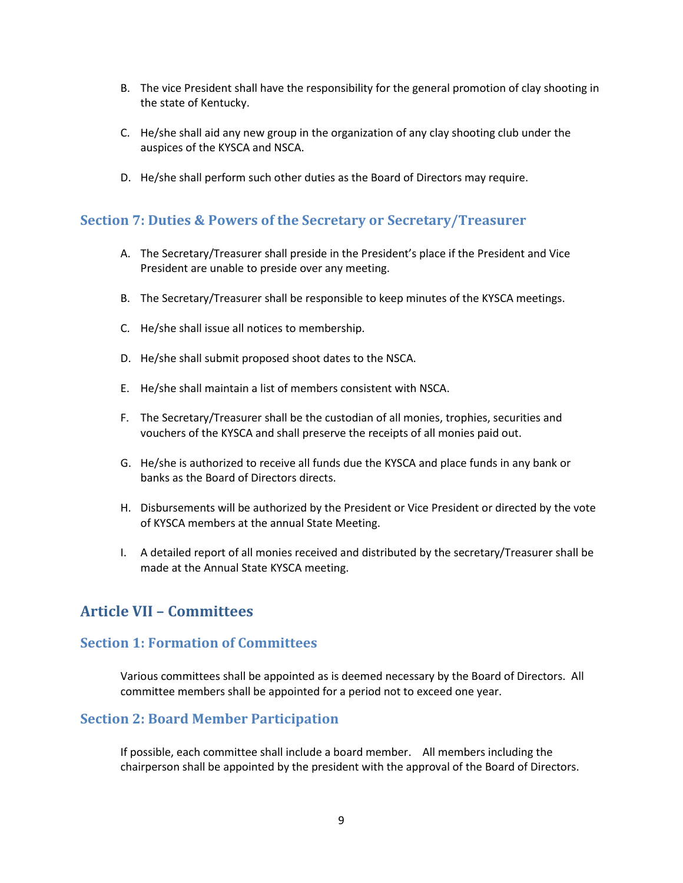- B. The vice President shall have the responsibility for the general promotion of clay shooting in the state of Kentucky.
- C. He/she shall aid any new group in the organization of any clay shooting club under the auspices of the KYSCA and NSCA.
- D. He/she shall perform such other duties as the Board of Directors may require.

### <span id="page-8-0"></span>**Section 7: Duties & Powers of the Secretary or Secretary/Treasurer**

- A. The Secretary/Treasurer shall preside in the President's place if the President and Vice President are unable to preside over any meeting.
- B. The Secretary/Treasurer shall be responsible to keep minutes of the KYSCA meetings.
- C. He/she shall issue all notices to membership.
- D. He/she shall submit proposed shoot dates to the NSCA.
- E. He/she shall maintain a list of members consistent with NSCA.
- F. The Secretary/Treasurer shall be the custodian of all monies, trophies, securities and vouchers of the KYSCA and shall preserve the receipts of all monies paid out.
- G. He/she is authorized to receive all funds due the KYSCA and place funds in any bank or banks as the Board of Directors directs.
- H. Disbursements will be authorized by the President or Vice President or directed by the vote of KYSCA members at the annual State Meeting.
- I. A detailed report of all monies received and distributed by the secretary/Treasurer shall be made at the Annual State KYSCA meeting.

## <span id="page-8-1"></span>**Article VII – Committees**

### <span id="page-8-2"></span>**Section 1: Formation of Committees**

Various committees shall be appointed as is deemed necessary by the Board of Directors. All committee members shall be appointed for a period not to exceed one year.

### <span id="page-8-3"></span>**Section 2: Board Member Participation**

If possible, each committee shall include a board member. All members including the chairperson shall be appointed by the president with the approval of the Board of Directors.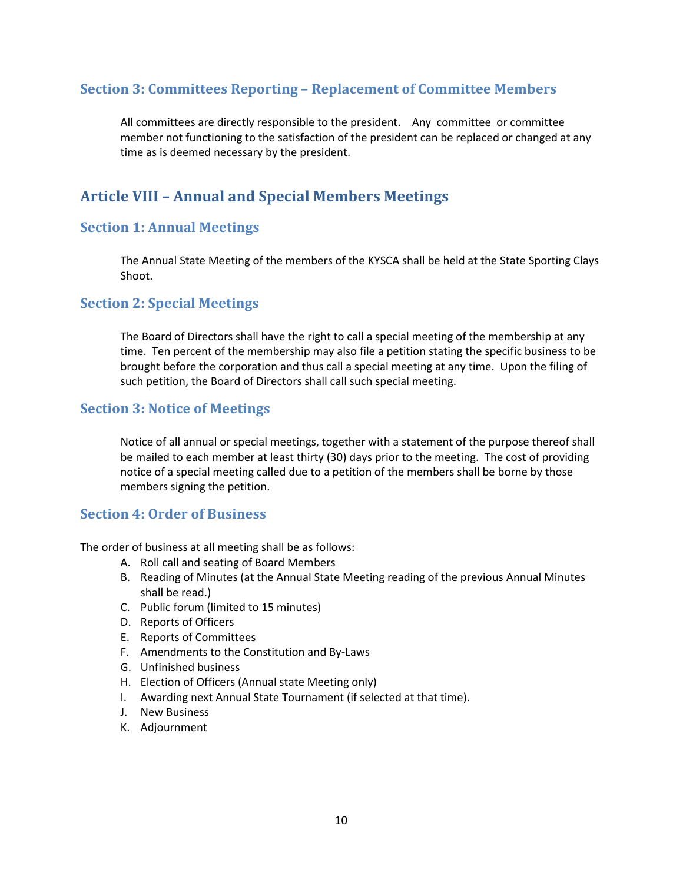## <span id="page-9-0"></span>**Section 3: Committees Reporting – Replacement of Committee Members**

All committees are directly responsible to the president. Any committee or committee member not functioning to the satisfaction of the president can be replaced or changed at any time as is deemed necessary by the president.

# <span id="page-9-1"></span>**Article VIII – Annual and Special Members Meetings**

## <span id="page-9-2"></span>**Section 1: Annual Meetings**

The Annual State Meeting of the members of the KYSCA shall be held at the State Sporting Clays Shoot.

## <span id="page-9-3"></span>**Section 2: Special Meetings**

The Board of Directors shall have the right to call a special meeting of the membership at any time. Ten percent of the membership may also file a petition stating the specific business to be brought before the corporation and thus call a special meeting at any time. Upon the filing of such petition, the Board of Directors shall call such special meeting.

## <span id="page-9-4"></span>**Section 3: Notice of Meetings**

Notice of all annual or special meetings, together with a statement of the purpose thereof shall be mailed to each member at least thirty (30) days prior to the meeting. The cost of providing notice of a special meeting called due to a petition of the members shall be borne by those members signing the petition.

## <span id="page-9-5"></span>**Section 4: Order of Business**

The order of business at all meeting shall be as follows:

- A. Roll call and seating of Board Members
- B. Reading of Minutes (at the Annual State Meeting reading of the previous Annual Minutes shall be read.)
- C. Public forum (limited to 15 minutes)
- D. Reports of Officers
- E. Reports of Committees
- F. Amendments to the Constitution and By-Laws
- G. Unfinished business
- H. Election of Officers (Annual state Meeting only)
- I. Awarding next Annual State Tournament (if selected at that time).
- J. New Business
- K. Adjournment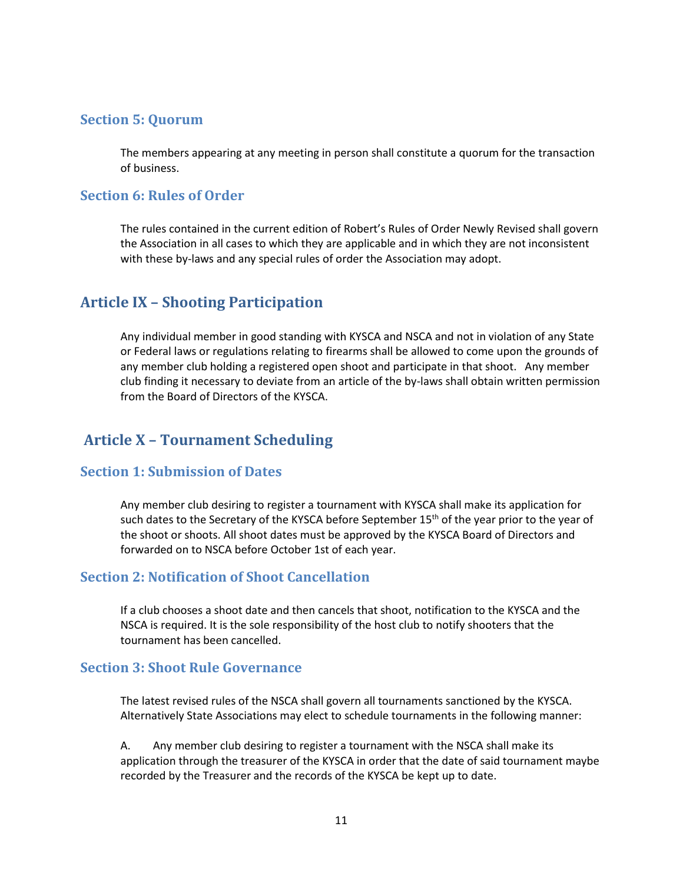### <span id="page-10-0"></span>**Section 5: Quorum**

The members appearing at any meeting in person shall constitute a quorum for the transaction of business.

### <span id="page-10-1"></span>**Section 6: Rules of Order**

The rules contained in the current edition of Robert's Rules of Order Newly Revised shall govern the Association in all cases to which they are applicable and in which they are not inconsistent with these by-laws and any special rules of order the Association may adopt.

## <span id="page-10-2"></span>**Article IX – Shooting Participation**

Any individual member in good standing with KYSCA and NSCA and not in violation of any State or Federal laws or regulations relating to firearms shall be allowed to come upon the grounds of any member club holding a registered open shoot and participate in that shoot. Any member club finding it necessary to deviate from an article of the by-laws shall obtain written permission from the Board of Directors of the KYSCA.

## <span id="page-10-3"></span>**Article X – Tournament Scheduling**

### <span id="page-10-4"></span>**Section 1: Submission of Dates**

Any member club desiring to register a tournament with KYSCA shall make its application for such dates to the Secretary of the KYSCA before September  $15<sup>th</sup>$  of the year prior to the year of the shoot or shoots. All shoot dates must be approved by the KYSCA Board of Directors and forwarded on to NSCA before October 1st of each year.

## <span id="page-10-5"></span>**Section 2: Notification of Shoot Cancellation**

If a club chooses a shoot date and then cancels that shoot, notification to the KYSCA and the NSCA is required. It is the sole responsibility of the host club to notify shooters that the tournament has been cancelled.

### <span id="page-10-6"></span>**Section 3: Shoot Rule Governance**

The latest revised rules of the NSCA shall govern all tournaments sanctioned by the KYSCA. Alternatively State Associations may elect to schedule tournaments in the following manner:

A. Any member club desiring to register a tournament with the NSCA shall make its application through the treasurer of the KYSCA in order that the date of said tournament maybe recorded by the Treasurer and the records of the KYSCA be kept up to date.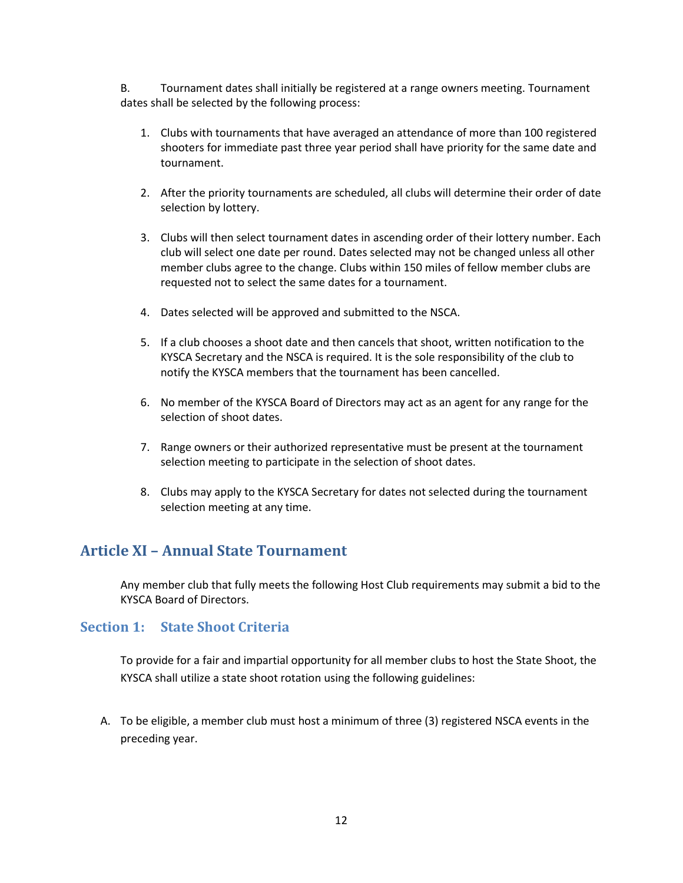B. Tournament dates shall initially be registered at a range owners meeting. Tournament dates shall be selected by the following process:

- 1. Clubs with tournaments that have averaged an attendance of more than 100 registered shooters for immediate past three year period shall have priority for the same date and tournament.
- 2. After the priority tournaments are scheduled, all clubs will determine their order of date selection by lottery.
- 3. Clubs will then select tournament dates in ascending order of their lottery number. Each club will select one date per round. Dates selected may not be changed unless all other member clubs agree to the change. Clubs within 150 miles of fellow member clubs are requested not to select the same dates for a tournament.
- 4. Dates selected will be approved and submitted to the NSCA.
- 5. If a club chooses a shoot date and then cancels that shoot, written notification to the KYSCA Secretary and the NSCA is required. It is the sole responsibility of the club to notify the KYSCA members that the tournament has been cancelled.
- 6. No member of the KYSCA Board of Directors may act as an agent for any range for the selection of shoot dates.
- 7. Range owners or their authorized representative must be present at the tournament selection meeting to participate in the selection of shoot dates.
- 8. Clubs may apply to the KYSCA Secretary for dates not selected during the tournament selection meeting at any time.

## <span id="page-11-0"></span>**Article XI – Annual State Tournament**

Any member club that fully meets the following Host Club requirements may submit a bid to the KYSCA Board of Directors.

### <span id="page-11-1"></span>**Section 1: State Shoot Criteria**

To provide for a fair and impartial opportunity for all member clubs to host the State Shoot, the KYSCA shall utilize a state shoot rotation using the following guidelines:

A. To be eligible, a member club must host a minimum of three (3) registered NSCA events in the preceding year.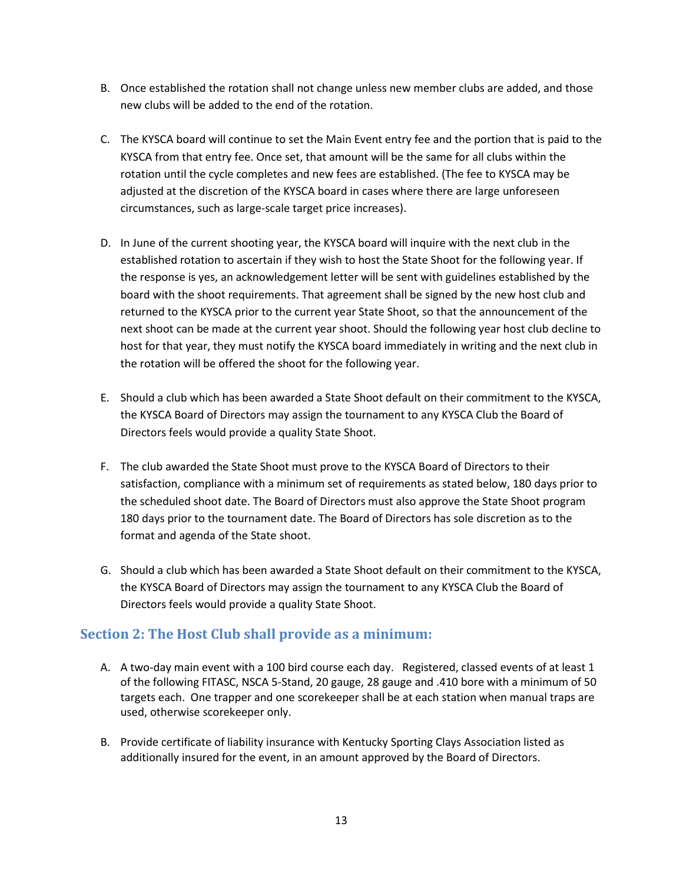- B. Once established the rotation shall not change unless new member clubs are added, and those new clubs will be added to the end of the rotation.
- C. The KYSCA board will continue to set the Main Event entry fee and the portion that is paid to the KYSCA from that entry fee. Once set, that amount will be the same for all clubs within the rotation until the cycle completes and new fees are established. (The fee to KYSCA may be adjusted at the discretion of the KYSCA board in cases where there are large unforeseen circumstances, such as large-scale target price increases).
- D. In June of the current shooting year, the KYSCA board will inquire with the next club in the established rotation to ascertain if they wish to host the State Shoot for the following year. If the response is yes, an acknowledgement letter will be sent with guidelines established by the board with the shoot requirements. That agreement shall be signed by the new host club and returned to the KYSCA prior to the current year State Shoot, so that the announcement of the next shoot can be made at the current year shoot. Should the following year host club decline to host for that year, they must notify the KYSCA board immediately in writing and the next club in the rotation will be offered the shoot for the following year.
- E. Should a club which has been awarded a State Shoot default on their commitment to the KYSCA, the KYSCA Board of Directors may assign the tournament to any KYSCA Club the Board of Directors feels would provide a quality State Shoot.
- F. The club awarded the State Shoot must prove to the KYSCA Board of Directors to their satisfaction, compliance with a minimum set of requirements as stated below, 180 days prior to the scheduled shoot date. The Board of Directors must also approve the State Shoot program 180 days prior to the tournament date. The Board of Directors has sole discretion as to the format and agenda of the State shoot.
- G. Should a club which has been awarded a State Shoot default on their commitment to the KYSCA, the KYSCA Board of Directors may assign the tournament to any KYSCA Club the Board of Directors feels would provide a quality State Shoot.

## <span id="page-12-0"></span>**Section 2: The Host Club shall provide as a minimum:**

- A. A two-day main event with a 100 bird course each day. Registered, classed events of at least 1 of the following FITASC, NSCA 5-Stand, 20 gauge, 28 gauge and .410 bore with a minimum of 50 targets each. One trapper and one scorekeeper shall be at each station when manual traps are used, otherwise scorekeeper only.
- B. Provide certificate of liability insurance with Kentucky Sporting Clays Association listed as additionally insured for the event, in an amount approved by the Board of Directors.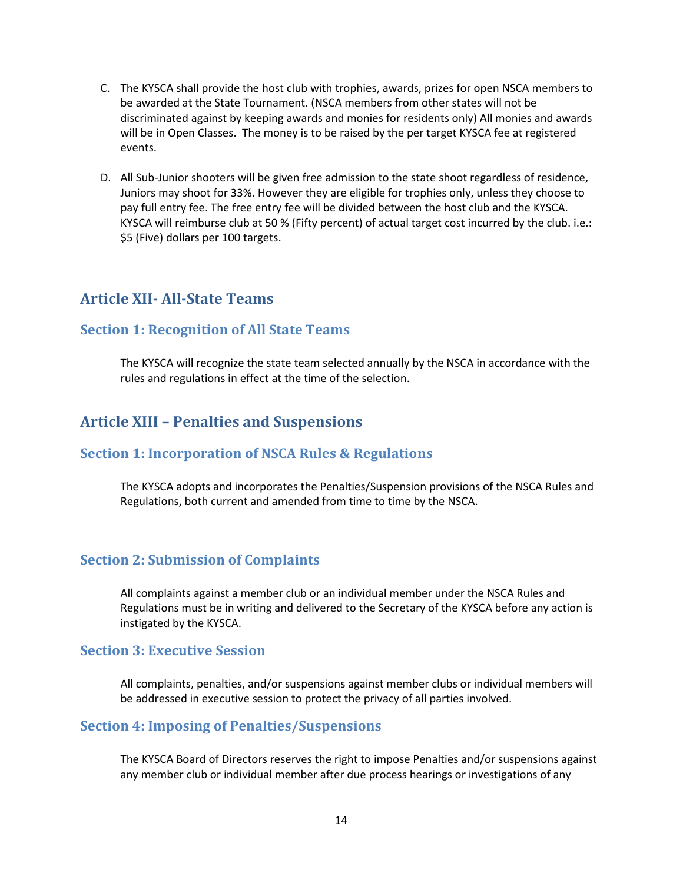- C. The KYSCA shall provide the host club with trophies, awards, prizes for open NSCA members to be awarded at the State Tournament. (NSCA members from other states will not be discriminated against by keeping awards and monies for residents only) All monies and awards will be in Open Classes. The money is to be raised by the per target KYSCA fee at registered events.
- D. All Sub-Junior shooters will be given free admission to the state shoot regardless of residence, Juniors may shoot for 33%. However they are eligible for trophies only, unless they choose to pay full entry fee. The free entry fee will be divided between the host club and the KYSCA. KYSCA will reimburse club at 50 % (Fifty percent) of actual target cost incurred by the club. i.e.: \$5 (Five) dollars per 100 targets.

## <span id="page-13-0"></span>**Article XII- All-State Teams**

### <span id="page-13-1"></span>**Section 1: Recognition of All State Teams**

The KYSCA will recognize the state team selected annually by the NSCA in accordance with the rules and regulations in effect at the time of the selection.

## <span id="page-13-2"></span>**Article XIII – Penalties and Suspensions**

### <span id="page-13-3"></span>**Section 1: Incorporation of NSCA Rules & Regulations**

The KYSCA adopts and incorporates the Penalties/Suspension provisions of the NSCA Rules and Regulations, both current and amended from time to time by the NSCA.

### <span id="page-13-4"></span>**Section 2: Submission of Complaints**

All complaints against a member club or an individual member under the NSCA Rules and Regulations must be in writing and delivered to the Secretary of the KYSCA before any action is instigated by the KYSCA.

#### <span id="page-13-5"></span>**Section 3: Executive Session**

All complaints, penalties, and/or suspensions against member clubs or individual members will be addressed in executive session to protect the privacy of all parties involved.

### <span id="page-13-6"></span>**Section 4: Imposing of Penalties/Suspensions**

The KYSCA Board of Directors reserves the right to impose Penalties and/or suspensions against any member club or individual member after due process hearings or investigations of any